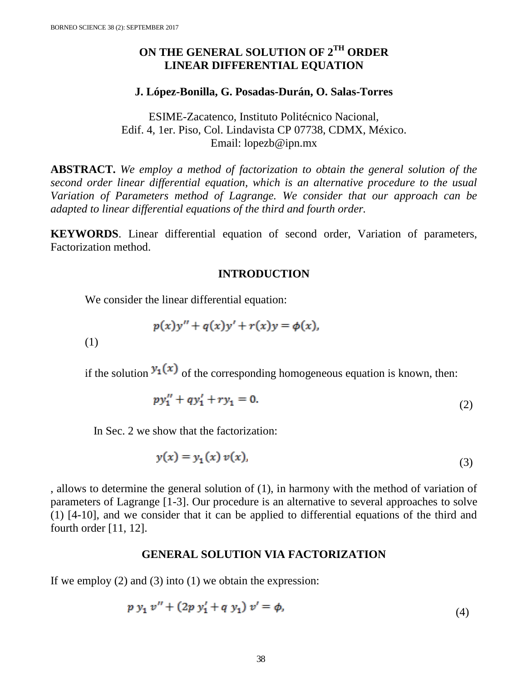# **ON THE GENERAL SOLUTION OF 2TH ORDER LINEAR DIFFERENTIAL EQUATION**

#### **J. López-Bonilla, G. Posadas-Durán, O. Salas-Torres**

ESIME-Zacatenco, Instituto Politécnico Nacional, Edif. 4, 1er. Piso, Col. Lindavista CP 07738, CDMX, México. Email: lopezb@ipn.mx

**ABSTRACT.** *We employ a method of factorization to obtain the general solution of the second order linear differential equation, which is an alternative procedure to the usual Variation of Parameters method of Lagrange. We consider that our approach can be adapted to linear differential equations of the third and fourth order.*

**KEYWORDS**. Linear differential equation of second order, Variation of parameters, Factorization method.

# **INTRODUCTION**

We consider the linear differential equation:

$$
p(x)y'' + q(x)y' + r(x)y = \phi(x),
$$

(1)

if the solution  $y_1(x)$  of the corresponding homogeneous equation is known, then:

$$
py_1'' + qy_1' + ry_1 = 0. \tag{2}
$$

In Sec. 2 we show that the factorization:

$$
y(x) = y_1(x) v(x), \tag{3}
$$

, allows to determine the general solution of (1), in harmony with the method of variation of parameters of Lagrange [1-3]. Our procedure is an alternative to several approaches to solve (1) [4-10], and we consider that it can be applied to differential equations of the third and fourth order [11, 12].

## **GENERAL SOLUTION VIA FACTORIZATION**

If we employ  $(2)$  and  $(3)$  into  $(1)$  we obtain the expression:

$$
p y_1 v'' + (2p y_1' + q y_1) v' = \phi,
$$
\n(4)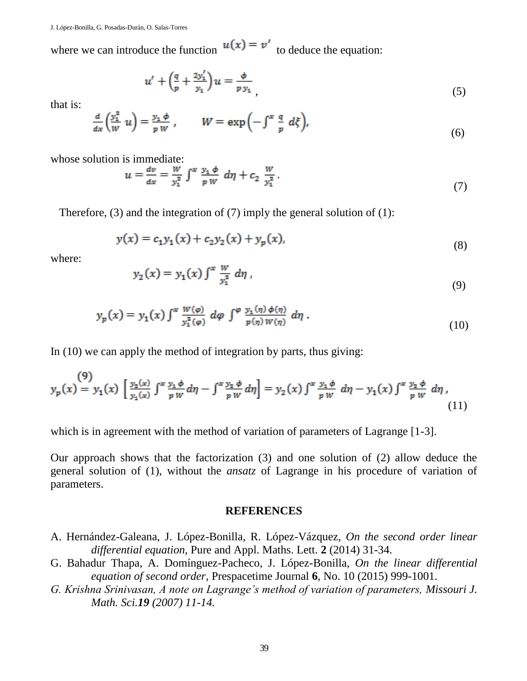where we can introduce the function  $u(x) = v'$  to deduce the equation:

$$
u' + \left(\frac{q}{p} + \frac{2y_1'}{y_1}\right)u = \frac{\phi}{p y_1},\tag{5}
$$

that is:

$$
\frac{d}{dx}\left(\frac{y_1^2}{W}u\right) = \frac{y_1 \phi}{p W}, \qquad W = \exp\left(-\int^x \frac{q}{p} d\xi\right),\tag{6}
$$

whose solution is immediate:

$$
u = \frac{dv}{dx} = \frac{W}{y_1^2} \int^x \frac{y_1 \phi}{p \, W} \, d\eta + c_2 \, \frac{W}{y_1^2} \,. \tag{7}
$$

Therefore,  $(3)$  and the integration of  $(7)$  imply the general solution of  $(1)$ :

$$
y(x) = c_1 y_1(x) + c_2 y_2(x) + y_p(x),
$$
\n(8)

where:

$$
y_2(x) = y_1(x) \int^x \frac{w}{y_1^2} \, d\eta \tag{9}
$$

$$
y_p(x) = y_1(x) \int^x \frac{W(\varphi)}{y_1^2(\varphi)} d\varphi \int^{\varphi} \frac{y_1(\eta) \phi(\eta)}{p(\eta) W(\eta)} d\eta.
$$
 (10)

In (10) we can apply the method of integration by parts, thus giving:

$$
y_p(x) = y_1(x) \left[ \frac{y_2(x)}{y_1(x)} \int^x \frac{y_1 \phi}{p \, W} d\eta - \int^x \frac{y_2 \phi}{p \, W} d\eta \right] = y_2(x) \int^x \frac{y_1 \phi}{p \, W} d\eta - y_1(x) \int^x \frac{y_2 \phi}{p \, W} d\eta,
$$
\n(11)

which is in agreement with the method of variation of parameters of Lagrange [1-3].

Our approach shows that the factorization (3) and one solution of (2) allow deduce the general solution of (1), without the *ansatz* of Lagrange in his procedure of variation of parameters.

# **REFERENCES**

- A. Hernández-Galeana, J. López-Bonilla, R. López-Vázquez, *On the second order linear differential equation,* Pure and Appl. Maths. Lett. **2** (2014) 31-34.
- G. Bahadur Thapa, A. Domínguez-Pacheco, J. López-Bonilla, *On the linear differential equation of second order,* Prespacetime Journal **6**, No. 10 (2015) 999-1001.
- *G. Krishna Srinivasan, A note on Lagrange's method of variation of parameters, Missouri J. Math. Sci.19 (2007) 11-14.*